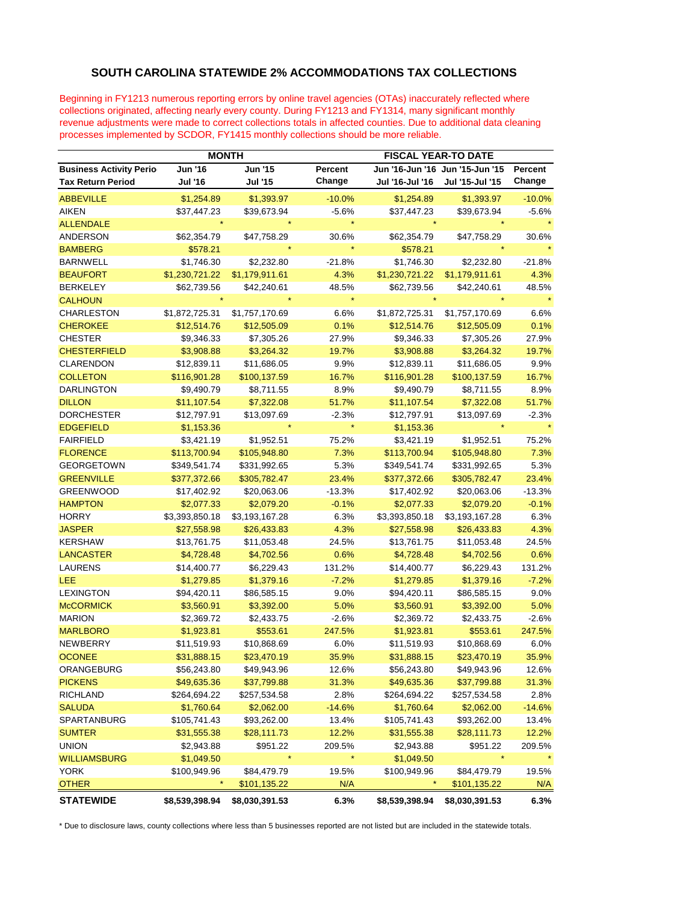## **SOUTH CAROLINA STATEWIDE 2% ACCOMMODATIONS TAX COLLECTIONS**

Beginning in FY1213 numerous reporting errors by online travel agencies (OTAs) inaccurately reflected where collections originated, affecting nearly every county. During FY1213 and FY1314, many significant monthly revenue adjustments were made to correct collections totals in affected counties. Due to additional data cleaning processes implemented by SCDOR, FY1415 monthly collections should be more reliable.

|                                | <b>MONTH</b>   |                |          | <b>FISCAL YEAR-TO DATE</b>      |                 |          |
|--------------------------------|----------------|----------------|----------|---------------------------------|-----------------|----------|
| <b>Business Activity Perio</b> | <b>Jun '16</b> | <b>Jun '15</b> | Percent  | Jun '16-Jun '16 Jun '15-Jun '15 |                 | Percent  |
| <b>Tax Return Period</b>       | <b>Jul '16</b> | Jul '15        | Change   | Jul '16-Jul '16                 | Jul '15-Jul '15 | Change   |
| <b>ABBEVILLE</b>               | \$1,254.89     | \$1,393.97     | $-10.0%$ | \$1,254.89                      | \$1,393.97      | $-10.0%$ |
| <b>AIKEN</b>                   | \$37,447.23    | \$39,673.94    | $-5.6%$  | \$37,447.23                     | \$39,673.94     | $-5.6%$  |
| <b>ALLENDALE</b>               |                |                | $\star$  |                                 |                 |          |
| ANDERSON                       | \$62,354.79    | \$47,758.29    | 30.6%    | \$62,354.79                     | \$47,758.29     | 30.6%    |
| <b>BAMBERG</b>                 | \$578.21       |                |          | \$578.21                        |                 |          |
| <b>BARNWELL</b>                | \$1,746.30     | \$2,232.80     | $-21.8%$ | \$1,746.30                      | \$2,232.80      | $-21.8%$ |
| <b>BEAUFORT</b>                | \$1,230,721.22 | \$1,179,911.61 | 4.3%     | \$1,230,721.22                  | \$1,179,911.61  | 4.3%     |
| <b>BERKELEY</b>                | \$62,739.56    | \$42,240.61    | 48.5%    | \$62,739.56                     | \$42,240.61     | 48.5%    |
| <b>CALHOUN</b>                 |                |                |          |                                 |                 |          |
| <b>CHARLESTON</b>              | \$1,872,725.31 | \$1,757,170.69 | 6.6%     | \$1,872,725.31                  | \$1,757,170.69  | 6.6%     |
| <b>CHEROKEE</b>                | \$12,514.76    | \$12,505.09    | 0.1%     | \$12,514.76                     | \$12,505.09     | 0.1%     |
| <b>CHESTER</b>                 | \$9,346.33     | \$7,305.26     | 27.9%    | \$9,346.33                      | \$7,305.26      | 27.9%    |
| <b>CHESTERFIELD</b>            | \$3,908.88     | \$3,264.32     | 19.7%    | \$3,908.88                      | \$3,264.32      | 19.7%    |
| <b>CLARENDON</b>               | \$12,839.11    | \$11,686.05    | 9.9%     | \$12,839.11                     | \$11,686.05     | 9.9%     |
| <b>COLLETON</b>                | \$116,901.28   | \$100,137.59   | 16.7%    | \$116,901.28                    | \$100,137.59    | 16.7%    |
| <b>DARLINGTON</b>              | \$9,490.79     | \$8,711.55     | 8.9%     | \$9,490.79                      | \$8,711.55      | 8.9%     |
| <b>DILLON</b>                  | \$11,107.54    | \$7,322.08     | 51.7%    | \$11,107.54                     | \$7,322.08      | 51.7%    |
| <b>DORCHESTER</b>              | \$12,797.91    | \$13,097.69    | $-2.3%$  | \$12,797.91                     | \$13,097.69     | $-2.3%$  |
| <b>EDGEFIELD</b>               | \$1,153.36     |                |          | \$1,153.36                      |                 |          |
| <b>FAIRFIELD</b>               | \$3,421.19     | \$1,952.51     | 75.2%    | \$3,421.19                      | \$1,952.51      | 75.2%    |
| <b>FLORENCE</b>                | \$113,700.94   | \$105,948.80   | 7.3%     | \$113,700.94                    | \$105,948.80    | 7.3%     |
| <b>GEORGETOWN</b>              | \$349,541.74   | \$331,992.65   | 5.3%     | \$349,541.74                    | \$331,992.65    | 5.3%     |
| <b>GREENVILLE</b>              | \$377,372.66   | \$305,782.47   | 23.4%    | \$377,372.66                    | \$305,782.47    | 23.4%    |
| <b>GREENWOOD</b>               | \$17,402.92    | \$20,063.06    | $-13.3%$ | \$17,402.92                     | \$20,063.06     | $-13.3%$ |
| <b>HAMPTON</b>                 | \$2,077.33     | \$2,079.20     | $-0.1%$  | \$2,077.33                      | \$2,079.20      | $-0.1%$  |
| <b>HORRY</b>                   | \$3,393,850.18 | \$3,193,167.28 | 6.3%     | \$3,393,850.18                  | \$3,193,167.28  | 6.3%     |
| <b>JASPER</b>                  | \$27,558.98    | \$26,433.83    | 4.3%     | \$27,558.98                     | \$26,433.83     | 4.3%     |
| <b>KERSHAW</b>                 | \$13,761.75    | \$11,053.48    | 24.5%    | \$13,761.75                     | \$11,053.48     | 24.5%    |
| <b>LANCASTER</b>               | \$4,728.48     | \$4,702.56     | 0.6%     | \$4,728.48                      | \$4,702.56      | 0.6%     |
| <b>LAURENS</b>                 | \$14,400.77    | \$6,229.43     | 131.2%   | \$14,400.77                     | \$6,229.43      | 131.2%   |
| LEE                            | \$1,279.85     | \$1,379.16     | $-7.2%$  | \$1,279.85                      | \$1,379.16      | $-7.2%$  |
| <b>LEXINGTON</b>               | \$94,420.11    | \$86,585.15    | 9.0%     | \$94,420.11                     | \$86,585.15     | 9.0%     |
| <b>McCORMICK</b>               | \$3,560.91     | \$3,392.00     | 5.0%     | \$3,560.91                      | \$3,392.00      | 5.0%     |
| <b>MARION</b>                  | \$2,369.72     | \$2,433.75     | $-2.6%$  | \$2,369.72                      | \$2,433.75      | $-2.6%$  |
| <b>MARLBORO</b>                | \$1,923.81     | \$553.61       | 247.5%   | \$1,923.81                      | \$553.61        | 247.5%   |
| NEWBERRY                       | \$11,519.93    | \$10,868.69    | 6.0%     | \$11,519.93                     | \$10,868.69     | 6.0%     |
| <b>OCONEE</b>                  | \$31,888.15    | \$23,470.19    | 35.9%    | \$31,888.15                     | \$23,470.19     | 35.9%    |
| ORANGEBURG                     | \$56,243.80    | \$49,943.96    | 12.6%    | \$56,243.80                     | \$49,943.96     | 12.6%    |
| <b>PICKENS</b>                 | \$49,635.36    | \$37,799.88    | 31.3%    | \$49,635.36                     | \$37,799.88     | 31.3%    |
| <b>RICHLAND</b>                | \$264,694.22   | \$257,534.58   | 2.8%     | \$264,694.22                    | \$257,534.58    | 2.8%     |
| <b>SALUDA</b>                  | \$1,760.64     | \$2,062.00     | $-14.6%$ | \$1,760.64                      | \$2,062.00      | $-14.6%$ |
| SPARTANBURG                    | \$105,741.43   | \$93,262.00    | 13.4%    | \$105,741.43                    | \$93,262.00     | 13.4%    |
| <b>SUMTER</b>                  | \$31,555.38    | \$28,111.73    | 12.2%    | \$31,555.38                     | \$28,111.73     | 12.2%    |
| <b>UNION</b>                   | \$2,943.88     | \$951.22       | 209.5%   | \$2,943.88                      | \$951.22        | 209.5%   |
| <b>WILLIAMSBURG</b>            | \$1,049.50     |                |          | \$1,049.50                      | $\star$         |          |
| <b>YORK</b>                    | \$100,949.96   | \$84,479.79    | 19.5%    | \$100,949.96                    | \$84,479.79     | 19.5%    |
| <b>OTHER</b>                   | $\star$        | \$101,135.22   | N/A      | $\star$                         | \$101,135.22    | N/A      |
| <b>STATEWIDE</b>               | \$8,539,398.94 | \$8,030,391.53 | 6.3%     | \$8,539,398.94                  | \$8,030,391.53  | 6.3%     |

\* Due to disclosure laws, county collections where less than 5 businesses reported are not listed but are included in the statewide totals.